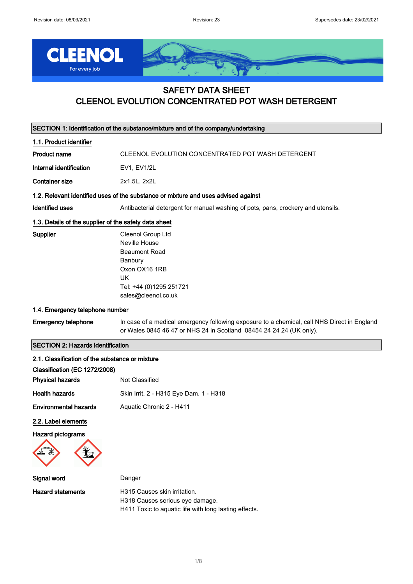

## SAFETY DATA SHEET CLEENOL EVOLUTION CONCENTRATED POT WASH DETERGENT

| SECTION 1: Identification of the substance/mixture and of the company/undertaking |                                                                                                                                                                    |  |
|-----------------------------------------------------------------------------------|--------------------------------------------------------------------------------------------------------------------------------------------------------------------|--|
| 1.1. Product identifier                                                           |                                                                                                                                                                    |  |
| <b>Product name</b>                                                               | CLEENOL EVOLUTION CONCENTRATED POT WASH DETERGENT                                                                                                                  |  |
| Internal identification                                                           | EV1, EV1/2L                                                                                                                                                        |  |
| <b>Container size</b>                                                             | 2x1.5L, 2x2L                                                                                                                                                       |  |
|                                                                                   | 1.2. Relevant identified uses of the substance or mixture and uses advised against                                                                                 |  |
| <b>Identified uses</b>                                                            | Antibacterial detergent for manual washing of pots, pans, crockery and utensils.                                                                                   |  |
| 1.3. Details of the supplier of the safety data sheet                             |                                                                                                                                                                    |  |
| <b>Supplier</b>                                                                   | Cleenol Group Ltd<br>Neville House<br><b>Beaumont Road</b><br>Banbury<br>Oxon OX16 1RB<br>UK<br>Tel: +44 (0)1295 251721<br>sales@cleenol.co.uk                     |  |
| 1.4. Emergency telephone number                                                   |                                                                                                                                                                    |  |
| <b>Emergency telephone</b>                                                        | In case of a medical emergency following exposure to a chemical, call NHS Direct in England<br>or Wales 0845 46 47 or NHS 24 in Scotland 08454 24 24 24 (UK only). |  |
| <b>SECTION 2: Hazards identification</b>                                          |                                                                                                                                                                    |  |
| 2.1. Classification of the substance or mixture                                   |                                                                                                                                                                    |  |
| Classification (EC 1272/2008)                                                     |                                                                                                                                                                    |  |
| <b>Physical hazards</b>                                                           | Not Classified                                                                                                                                                     |  |
| <b>Health hazards</b>                                                             | Skin Irrit. 2 - H315 Eye Dam. 1 - H318                                                                                                                             |  |
| <b>Environmental hazards</b>                                                      | Aquatic Chronic 2 - H411                                                                                                                                           |  |
| 2.2. Label elements                                                               |                                                                                                                                                                    |  |
| <b>Hazard pictograms</b>                                                          |                                                                                                                                                                    |  |
| Signal word                                                                       | Danger                                                                                                                                                             |  |
| <b>Hazard statements</b>                                                          | H315 Causes skin irritation.<br>H318 Causes serious eye damage.<br>H411 Toxic to aquatic life with long lasting effects.                                           |  |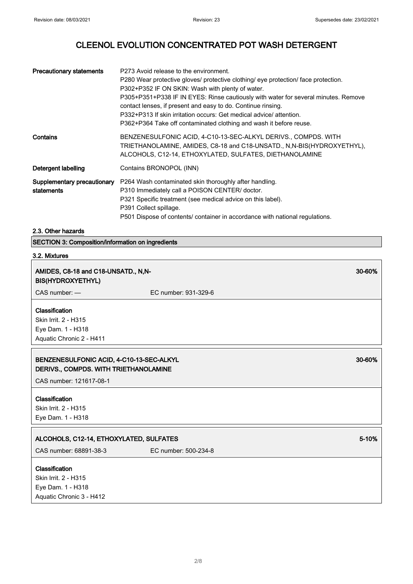| <b>Precautionary statements</b>           | P273 Avoid release to the environment.<br>P280 Wear protective gloves/ protective clothing/ eye protection/ face protection.<br>P302+P352 IF ON SKIN: Wash with plenty of water.<br>P305+P351+P338 IF IN EYES: Rinse cautiously with water for several minutes. Remove<br>contact lenses, if present and easy to do. Continue rinsing.<br>P332+P313 If skin irritation occurs: Get medical advice/attention.<br>P362+P364 Take off contaminated clothing and wash it before reuse. |
|-------------------------------------------|------------------------------------------------------------------------------------------------------------------------------------------------------------------------------------------------------------------------------------------------------------------------------------------------------------------------------------------------------------------------------------------------------------------------------------------------------------------------------------|
| Contains                                  | BENZENESULFONIC ACID, 4-C10-13-SEC-ALKYL DERIVS., COMPDS. WITH<br>TRIETHANOLAMINE, AMIDES, C8-18 and C18-UNSATD., N,N-BIS(HYDROXYETHYL),<br>ALCOHOLS, C12-14, ETHOXYLATED, SULFATES, DIETHANOLAMINE                                                                                                                                                                                                                                                                                |
| Detergent labelling                       | Contains BRONOPOL (INN)                                                                                                                                                                                                                                                                                                                                                                                                                                                            |
| Supplementary precautionary<br>statements | P264 Wash contaminated skin thoroughly after handling.<br>P310 Immediately call a POISON CENTER/ doctor.<br>P321 Specific treatment (see medical advice on this label).<br>P391 Collect spillage.<br>P501 Dispose of contents/ container in accordance with national regulations.                                                                                                                                                                                                  |

### 2.3. Other hazards

SECTION 3: Composition/information on ingredients

# 3.2. Mixtures

| AMIDES, C8-18 and C18-UNSATD., N,N-<br><b>BIS(HYDROXYETHYL)</b>                         |                      | 30-60% |
|-----------------------------------------------------------------------------------------|----------------------|--------|
| CAS number: -                                                                           | EC number: 931-329-6 |        |
| Classification<br>Skin Irrit. 2 - H315<br>Eye Dam. 1 - H318<br>Aquatic Chronic 2 - H411 |                      |        |
| BENZENESULFONIC ACID, 4-C10-13-SEC-ALKYL<br>DERIVS., COMPDS. WITH TRIETHANOLAMINE       |                      | 30-60% |
| CAS number: 121617-08-1                                                                 |                      |        |
| Classification<br>Skin Irrit. 2 - H315<br>Eye Dam. 1 - H318                             |                      |        |
| ALCOHOLS, C12-14, ETHOXYLATED, SULFATES                                                 |                      | 5-10%  |
| CAS number: 68891-38-3                                                                  | EC number: 500-234-8 |        |
| Classification<br>Skin Irrit. 2 - H315<br>Eye Dam. 1 - H318<br>Aquatic Chronic 3 - H412 |                      |        |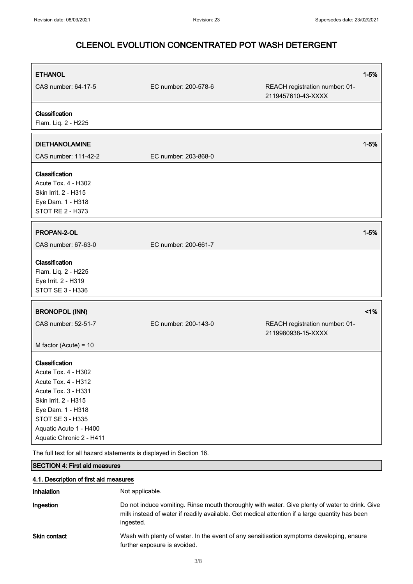| <b>ETHANOL</b><br>CAS number: 64-17-5                                                                                                                                                                             | EC number: 200-578-6 | REACH registration number: 01-<br>2119457610-43-XXXX | $1 - 5%$ |
|-------------------------------------------------------------------------------------------------------------------------------------------------------------------------------------------------------------------|----------------------|------------------------------------------------------|----------|
| Classification<br>Flam. Liq. 2 - H225                                                                                                                                                                             |                      |                                                      |          |
| <b>DIETHANOLAMINE</b><br>CAS number: 111-42-2                                                                                                                                                                     | EC number: 203-868-0 |                                                      | $1 - 5%$ |
| Classification<br>Acute Tox. 4 - H302<br>Skin Irrit. 2 - H315<br>Eye Dam. 1 - H318<br>STOT RE 2 - H373                                                                                                            |                      |                                                      |          |
| PROPAN-2-OL<br>CAS number: 67-63-0                                                                                                                                                                                | EC number: 200-661-7 |                                                      | $1 - 5%$ |
| Classification<br>Flam. Liq. 2 - H225<br>Eye Irrit. 2 - H319<br>STOT SE 3 - H336                                                                                                                                  |                      |                                                      |          |
| <b>BRONOPOL (INN)</b>                                                                                                                                                                                             |                      |                                                      | $<$ 1%   |
| CAS number: 52-51-7                                                                                                                                                                                               | EC number: 200-143-0 | REACH registration number: 01-<br>2119980938-15-XXXX |          |
| M factor (Acute) = $10$                                                                                                                                                                                           |                      |                                                      |          |
| Classification<br>Acute Tox. 4 - H302<br>Acute Tox. 4 - H312<br>Acute Tox. 3 - H331<br>Skin Irrit. 2 - H315<br>Eye Dam. 1 - H318<br><b>STOT SE 3 - H335</b><br>Aquatic Acute 1 - H400<br>Aquatic Chronic 2 - H411 |                      |                                                      |          |
| The full text for all hazard statements is displayed in Section 16.                                                                                                                                               |                      |                                                      |          |
| <b>SECTION 4: First aid measures</b>                                                                                                                                                                              |                      |                                                      |          |
| 4.1. Description of first aid measures<br>Inhalation                                                                                                                                                              | Not applicable.      |                                                      |          |

| Ingestion    | Do not induce vomiting. Rinse mouth thoroughly with water. Give plenty of water to drink. Give<br>milk instead of water if readily available. Get medical attention if a large quantity has been<br>ingested. |
|--------------|---------------------------------------------------------------------------------------------------------------------------------------------------------------------------------------------------------------|
| Skin contact | Wash with plenty of water. In the event of any sensitisation symptoms developing, ensure                                                                                                                      |

further exposure is avoided.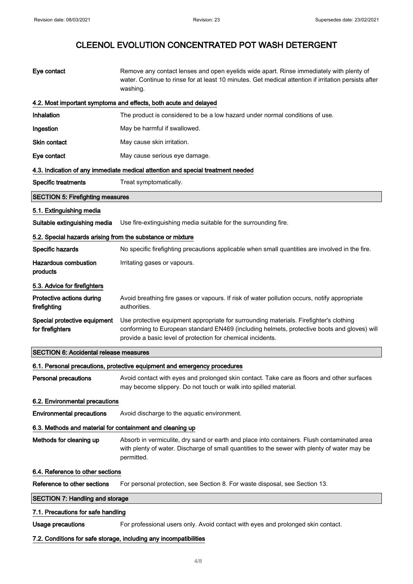| Eye contact                                                | Remove any contact lenses and open eyelids wide apart. Rinse immediately with plenty of<br>water. Continue to rinse for at least 10 minutes. Get medical attention if irritation persists after<br>washing.                                          |  |
|------------------------------------------------------------|------------------------------------------------------------------------------------------------------------------------------------------------------------------------------------------------------------------------------------------------------|--|
|                                                            | 4.2. Most important symptoms and effects, both acute and delayed                                                                                                                                                                                     |  |
| Inhalation                                                 | The product is considered to be a low hazard under normal conditions of use.                                                                                                                                                                         |  |
| Ingestion                                                  | May be harmful if swallowed.                                                                                                                                                                                                                         |  |
| <b>Skin contact</b>                                        | May cause skin irritation.                                                                                                                                                                                                                           |  |
| Eye contact                                                | May cause serious eye damage.                                                                                                                                                                                                                        |  |
|                                                            | 4.3. Indication of any immediate medical attention and special treatment needed                                                                                                                                                                      |  |
| <b>Specific treatments</b>                                 | Treat symptomatically.                                                                                                                                                                                                                               |  |
| <b>SECTION 5: Firefighting measures</b>                    |                                                                                                                                                                                                                                                      |  |
| 5.1. Extinguishing media                                   |                                                                                                                                                                                                                                                      |  |
| Suitable extinguishing media                               | Use fire-extinguishing media suitable for the surrounding fire.                                                                                                                                                                                      |  |
| 5.2. Special hazards arising from the substance or mixture |                                                                                                                                                                                                                                                      |  |
| Specific hazards                                           | No specific firefighting precautions applicable when small quantities are involved in the fire.                                                                                                                                                      |  |
| <b>Hazardous combustion</b><br>products                    | Irritating gases or vapours.                                                                                                                                                                                                                         |  |
| 5.3. Advice for firefighters                               |                                                                                                                                                                                                                                                      |  |
| Protective actions during<br>firefighting                  | Avoid breathing fire gases or vapours. If risk of water pollution occurs, notify appropriate<br>authorities.                                                                                                                                         |  |
| Special protective equipment<br>for firefighters           | Use protective equipment appropriate for surrounding materials. Firefighter's clothing<br>conforming to European standard EN469 (including helmets, protective boots and gloves) will<br>provide a basic level of protection for chemical incidents. |  |
| <b>SECTION 6: Accidental release measures</b>              |                                                                                                                                                                                                                                                      |  |
|                                                            | 6.1. Personal precautions, protective equipment and emergency procedures                                                                                                                                                                             |  |
| <b>Personal precautions</b>                                | Avoid contact with eyes and prolonged skin contact. Take care as floors and other surfaces<br>may become slippery. Do not touch or walk into spilled material.                                                                                       |  |
| 6.2. Environmental precautions                             |                                                                                                                                                                                                                                                      |  |
| <b>Environmental precautions</b>                           | Avoid discharge to the aquatic environment.                                                                                                                                                                                                          |  |
| 6.3. Methods and material for containment and cleaning up  |                                                                                                                                                                                                                                                      |  |
| Methods for cleaning up                                    | Absorb in vermiculite, dry sand or earth and place into containers. Flush contaminated area<br>with plenty of water. Discharge of small quantities to the sewer with plenty of water may be<br>permitted.                                            |  |
| 6.4. Reference to other sections                           |                                                                                                                                                                                                                                                      |  |
| Reference to other sections                                | For personal protection, see Section 8. For waste disposal, see Section 13.                                                                                                                                                                          |  |
| <b>SECTION 7: Handling and storage</b>                     |                                                                                                                                                                                                                                                      |  |
| 7.1. Precautions for safe handling                         |                                                                                                                                                                                                                                                      |  |
| <b>Usage precautions</b>                                   | For professional users only. Avoid contact with eyes and prolonged skin contact.                                                                                                                                                                     |  |
|                                                            | 7.2. Conditions for safe storage, including any incompatibilities                                                                                                                                                                                    |  |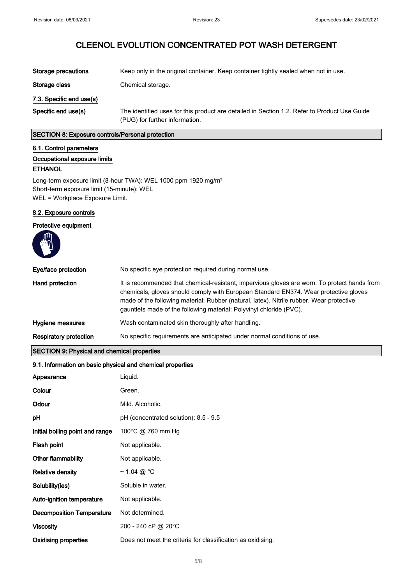| Storage precautions      | Keep only in the original container. Keep container tightly sealed when not in use.                                            |
|--------------------------|--------------------------------------------------------------------------------------------------------------------------------|
| Storage class            | Chemical storage.                                                                                                              |
| 7.3. Specific end use(s) |                                                                                                                                |
| Specific end use(s)      | The identified uses for this product are detailed in Section 1.2. Refer to Product Use Guide<br>(PUG) for further information. |

### SECTION 8: Exposure controls/Personal protection

### 8.1. Control parameters

#### Occupational exposure limits

## ETHANOL

Long-term exposure limit (8-hour TWA): WEL 1000 ppm 1920 mg/m<sup>3</sup> Short-term exposure limit (15-minute): WEL WEL = Workplace Exposure Limit.

### 8.2. Exposure controls

## Protective equipment

| Eye/face protection                                                                                                                                                                                                                                                                                                                                                                                                                                                                                   | No specific eye protection required during normal use.                                                                                                                                                                                                                                                                                                  |  |
|-------------------------------------------------------------------------------------------------------------------------------------------------------------------------------------------------------------------------------------------------------------------------------------------------------------------------------------------------------------------------------------------------------------------------------------------------------------------------------------------------------|---------------------------------------------------------------------------------------------------------------------------------------------------------------------------------------------------------------------------------------------------------------------------------------------------------------------------------------------------------|--|
| <b>Hand protection</b>                                                                                                                                                                                                                                                                                                                                                                                                                                                                                | It is recommended that chemical-resistant, impervious gloves are worn. To protect hands from<br>chemicals, gloves should comply with European Standard EN374. Wear protective gloves<br>made of the following material: Rubber (natural, latex). Nitrile rubber. Wear protective<br>gauntlets made of the following material: Polyvinyl chloride (PVC). |  |
| Hygiene measures                                                                                                                                                                                                                                                                                                                                                                                                                                                                                      | Wash contaminated skin thoroughly after handling.                                                                                                                                                                                                                                                                                                       |  |
| <b>Respiratory protection</b>                                                                                                                                                                                                                                                                                                                                                                                                                                                                         | No specific requirements are anticipated under normal conditions of use.                                                                                                                                                                                                                                                                                |  |
| $\overline{\text{OPT}}$ $\overline{\text{Q}}$ $\overline{\text{Q}}$ $\overline{\text{Q}}$ $\overline{\text{Q}}$ $\overline{\text{Q}}$ $\overline{\text{Q}}$ $\overline{\text{Q}}$ $\overline{\text{Q}}$ $\overline{\text{Q}}$ $\overline{\text{Q}}$ $\overline{\text{Q}}$ $\overline{\text{Q}}$ $\overline{\text{Q}}$ $\overline{\text{Q}}$ $\overline{\text{Q}}$ $\overline{\text{Q}}$ $\overline{\text{Q}}$ $\overline{\text{Q}}$ $\overline{\text{Q}}$ $\overline{\text{Q}}$ $\overline{\text{Q}}$ |                                                                                                                                                                                                                                                                                                                                                         |  |

## SECTION 9: Physical and chemical properties

| 9.1. Information on basic physical and chemical properties |                                                             |  |
|------------------------------------------------------------|-------------------------------------------------------------|--|
| Appearance                                                 | Liquid.                                                     |  |
| Colour                                                     | Green.                                                      |  |
| Odour                                                      | Mild. Alcoholic.                                            |  |
| pH                                                         | pH (concentrated solution): 8.5 - 9.5                       |  |
| Initial boiling point and range                            | 100°C @ 760 mm Hg                                           |  |
| Flash point                                                | Not applicable.                                             |  |
| <b>Other flammability</b>                                  | Not applicable.                                             |  |
| <b>Relative density</b>                                    | ~ 1.04 @ $^{\circ}$ C                                       |  |
| Solubility(ies)                                            | Soluble in water.                                           |  |
| Auto-ignition temperature                                  | Not applicable.                                             |  |
| <b>Decomposition Temperature</b>                           | Not determined.                                             |  |
| <b>Viscosity</b>                                           | 200 - 240 cP @ 20°C                                         |  |
| <b>Oxidising properties</b>                                | Does not meet the criteria for classification as oxidising. |  |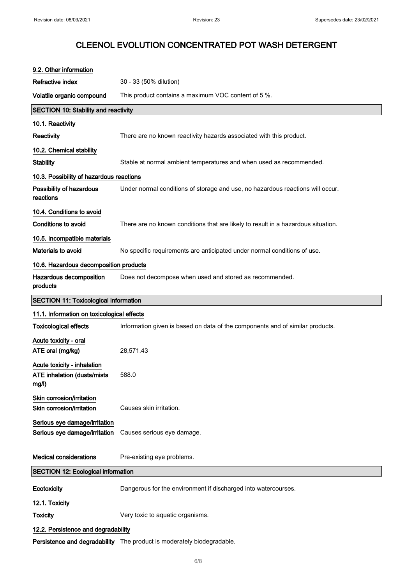| 9.2. Other information                                              |                                                                                   |
|---------------------------------------------------------------------|-----------------------------------------------------------------------------------|
| Refractive index                                                    | 30 - 33 (50% dilution)                                                            |
| Volatile organic compound                                           | This product contains a maximum VOC content of 5 %.                               |
| <b>SECTION 10: Stability and reactivity</b>                         |                                                                                   |
| 10.1. Reactivity                                                    |                                                                                   |
| Reactivity                                                          | There are no known reactivity hazards associated with this product.               |
| 10.2. Chemical stability                                            |                                                                                   |
| <b>Stability</b>                                                    | Stable at normal ambient temperatures and when used as recommended.               |
| 10.3. Possibility of hazardous reactions                            |                                                                                   |
| Possibility of hazardous<br>reactions                               | Under normal conditions of storage and use, no hazardous reactions will occur.    |
| 10.4. Conditions to avoid                                           |                                                                                   |
| <b>Conditions to avoid</b>                                          | There are no known conditions that are likely to result in a hazardous situation. |
| 10.5. Incompatible materials                                        |                                                                                   |
| Materials to avoid                                                  | No specific requirements are anticipated under normal conditions of use.          |
| 10.6. Hazardous decomposition products                              |                                                                                   |
| Hazardous decomposition<br>products                                 | Does not decompose when used and stored as recommended.                           |
| <b>SECTION 11: Toxicological information</b>                        |                                                                                   |
|                                                                     |                                                                                   |
| 11.1. Information on toxicological effects                          |                                                                                   |
| <b>Toxicological effects</b>                                        | Information given is based on data of the components and of similar products.     |
| Acute toxicity - oral                                               |                                                                                   |
| ATE oral (mg/kg)                                                    | 28,571.43                                                                         |
| Acute toxicity - inhalation<br>ATE inhalation (dusts/mists<br>mg/l) | 588.0                                                                             |
| Skin corrosion/irritation<br>Skin corrosion/irritation              | Causes skin irritation.                                                           |
| Serious eye damage/irritation<br>Serious eye damage/irritation      | Causes serious eye damage.                                                        |
| <b>Medical considerations</b>                                       | Pre-existing eye problems.                                                        |
| <b>SECTION 12: Ecological information</b>                           |                                                                                   |
| Ecotoxicity                                                         | Dangerous for the environment if discharged into watercourses.                    |
| 12.1. Toxicity                                                      |                                                                                   |
| <b>Toxicity</b>                                                     | Very toxic to aquatic organisms.                                                  |
| 12.2. Persistence and degradability                                 | Persistence and degradability The product is moderately biodegradable.            |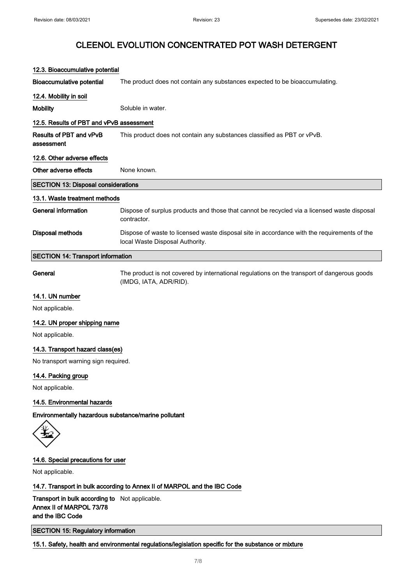| 12.3. Bioaccumulative potential          |                                                                                                                                |  |  |
|------------------------------------------|--------------------------------------------------------------------------------------------------------------------------------|--|--|
| <b>Bioaccumulative potential</b>         | The product does not contain any substances expected to be bioaccumulating.                                                    |  |  |
| 12.4. Mobility in soil                   |                                                                                                                                |  |  |
| <b>Mobility</b>                          | Soluble in water.                                                                                                              |  |  |
| 12.5. Results of PBT and vPvB assessment |                                                                                                                                |  |  |
| Results of PBT and vPvB<br>assessment    | This product does not contain any substances classified as PBT or vPvB.                                                        |  |  |
| 12.6. Other adverse effects              |                                                                                                                                |  |  |
| Other adverse effects                    | None known.                                                                                                                    |  |  |
|                                          | <b>SECTION 13: Disposal considerations</b>                                                                                     |  |  |
| 13.1. Waste treatment methods            |                                                                                                                                |  |  |
| <b>General information</b>               | Dispose of surplus products and those that cannot be recycled via a licensed waste disposal<br>contractor.                     |  |  |
| <b>Disposal methods</b>                  | Dispose of waste to licensed waste disposal site in accordance with the requirements of the<br>local Waste Disposal Authority. |  |  |
| <b>SECTION 14: Transport information</b> |                                                                                                                                |  |  |
| General                                  | The product is not covered by international regulations on the transport of dangerous goods<br>(IMDG, IATA, ADR/RID).          |  |  |
| 14.1. UN number                          |                                                                                                                                |  |  |
| Not applicable.                          |                                                                                                                                |  |  |
| 14.2. UN proper shipping name            |                                                                                                                                |  |  |
| Not applicable.                          |                                                                                                                                |  |  |

14.3. Transport hazard class(es)

No transport warning sign required.

## 14.4. Packing group

Not applicable.

### 14.5. Environmental hazards

Environmentally hazardous substance/marine pollutant

## 14.6. Special precautions for user

Not applicable.

14.7. Transport in bulk according to Annex II of MARPOL and the IBC Code

Transport in bulk according to Not applicable. Annex II of MARPOL 73/78 and the IBC Code

SECTION 15: Regulatory information

15.1. Safety, health and environmental regulations/legislation specific for the substance or mixture